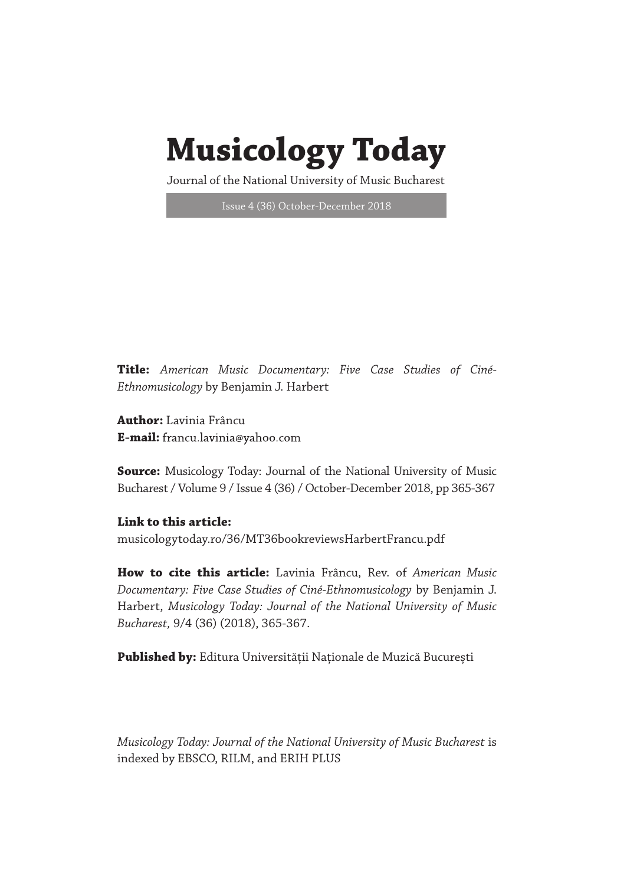## **Musicology Today**

Journal of the National University of Music Bucharest

Issue 4 (36) October-December 2018

**Title:** *American Music Documentary: Five Case Studies of Ciné-Ethnomusicology* by Benjamin J. Harbert

**Author:** Lavinia Frâncu **E-mail:**

**Source:** Musicology Today: Journal of the National University of Music Bucharest / Volume 9 / Issue 4 (36) / October-December 2018, pp 365-367

## **Link to this article:**

musicologytoday.ro/36/MT36bookreviewsHarbertFrancu.pdf

**How to cite this article:** Lavinia Frâncu, Rev. of *American Music Documentary: Five Case Studies of Ciné-Ethnomusicology* by Benjamin J. Harbert, *Musicology Today: Journal of the National University of Music Bucharest,* 9/4 (36) (2018), 365-367.

**Published by:** Editura Universității Naționale de Muzică București

*Musicology Today: Journal of the National University of Music Bucharest* is indexed by EBSCO, RILM, and ERIH PLUS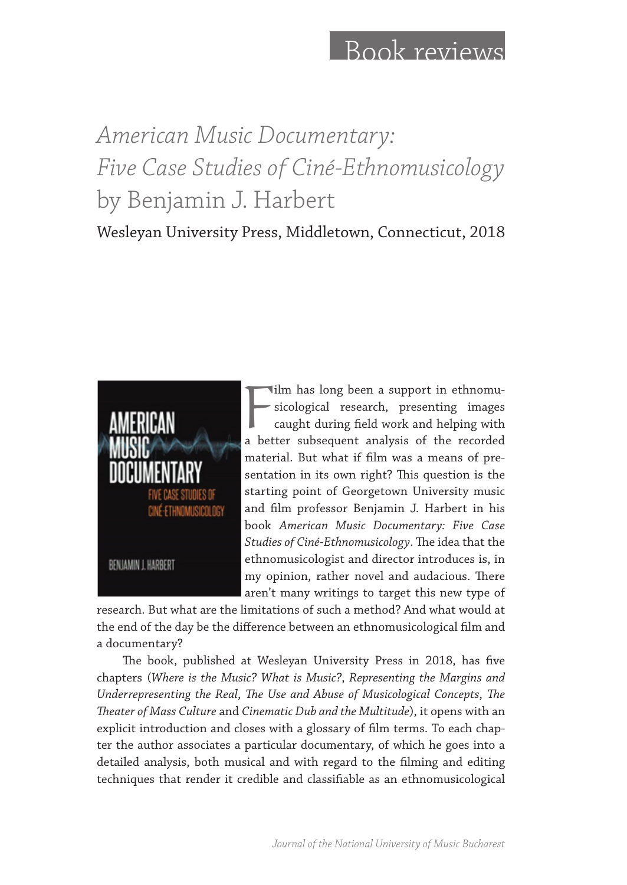## Book reviews

## *American Music Documentary: Five Case Studies of Ciné-Ethnomusicology* by Benjamin J. Harbert

Wesleyan University Press, Middletown, Connecticut, 2018



Film has long been a support in ethnomusicological research, presenting images caught during field work and helping with a better subsequent analysis of the recorded ilm has long been a support in ethnomusicological research, presenting images caught during field work and helping with material. But what if film was a means of presentation in its own right? This question is the starting point of Georgetown University music and film professor Benjamin J. Harbert in his book *American Music Documentary: Five Case Studies of Ciné-Ethnomusicology*. The idea that the ethnomusicologist and director introduces is, in my opinion, rather novel and audacious. There aren't many writings to target this new type of

research. But what are the limitations of such a method? And what would at the end of the day be the difference between an ethnomusicological film and a documentary?

The book, published at Wesleyan University Press in 2018, has five chapters (*Where is the Music? What is Music?*, *Representing the Margins and Underrepresenting the Real*, *The Use and Abuse of Musicological Concepts*, *The Theater of Mass Culture* and *Cinematic Dub and the Multitude*), it opens with an explicit introduction and closes with a glossary of film terms. To each chapter the author associates a particular documentary, of which he goes into a detailed analysis, both musical and with regard to the filming and editing techniques that render it credible and classifiable as an ethnomusicological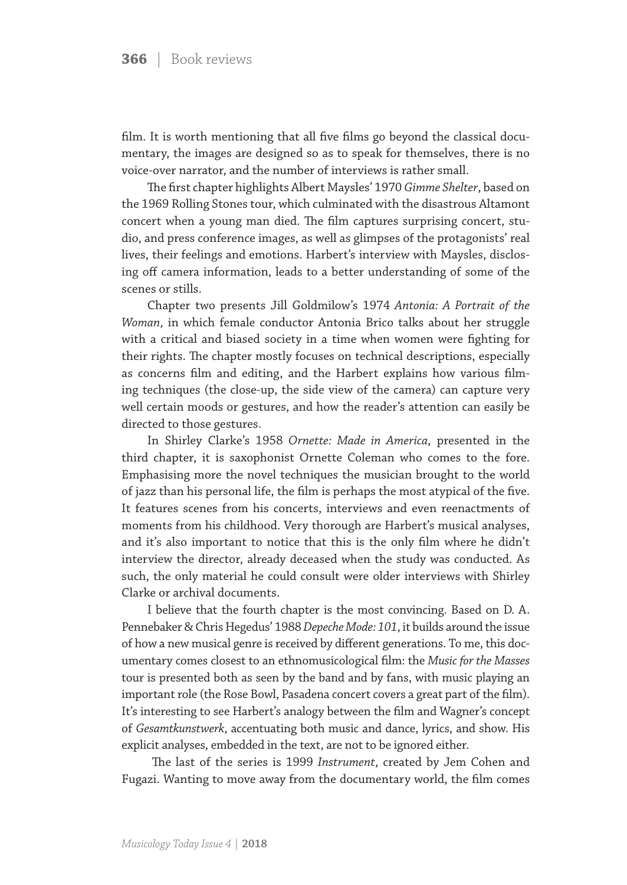film. It is worth mentioning that all five films go beyond the classical documentary, the images are designed so as to speak for themselves, there is no voice-over narrator, and the number of interviews is rather small.

The first chapter highlights Albert Maysles' 1970 *Gimme Shelter*, based on the 1969 Rolling Stones tour, which culminated with the disastrous Altamont concert when a young man died. The film captures surprising concert, studio, and press conference images, as well as glimpses of the protagonists' real lives, their feelings and emotions. Harbert's interview with Maysles, disclosing off camera information, leads to a better understanding of some of the scenes or stills.

Chapter two presents Jill Goldmilow's 1974 *Antonia: A Portrait of the Woman*, in which female conductor Antonia Brico talks about her struggle with a critical and biased society in a time when women were fighting for their rights. The chapter mostly focuses on technical descriptions, especially as concerns film and editing, and the Harbert explains how various filming techniques (the close-up, the side view of the camera) can capture very well certain moods or gestures, and how the reader's attention can easily be directed to those gestures.

In Shirley Clarke's 1958 *Ornette: Made in America*, presented in the third chapter, it is saxophonist Ornette Coleman who comes to the fore. Emphasising more the novel techniques the musician brought to the world of jazz than his personal life, the film is perhaps the most atypical of the five. It features scenes from his concerts, interviews and even reenactments of moments from his childhood. Very thorough are Harbert's musical analyses, and it's also important to notice that this is the only film where he didn't interview the director, already deceased when the study was conducted. As such, the only material he could consult were older interviews with Shirley Clarke or archival documents.

I believe that the fourth chapter is the most convincing. Based on D. A. Pennebaker & Chris Hegedus' 1988 *Depeche Mode: 101*, it builds around the issue of how a new musical genre is received by different generations. To me, this documentary comes closest to an ethnomusicological film: the *Music for the Masses* tour is presented both as seen by the band and by fans, with music playing an important role (the Rose Bowl, Pasadena concert covers a great part of the film). It's interesting to see Harbert's analogy between the film and Wagner's concept of *Gesamtkunstwerk*, accentuating both music and dance, lyrics, and show. His explicit analyses, embedded in the text, are not to be ignored either.

 The last of the series is 1999 *Instrument*, created by Jem Cohen and Fugazi. Wanting to move away from the documentary world, the film comes